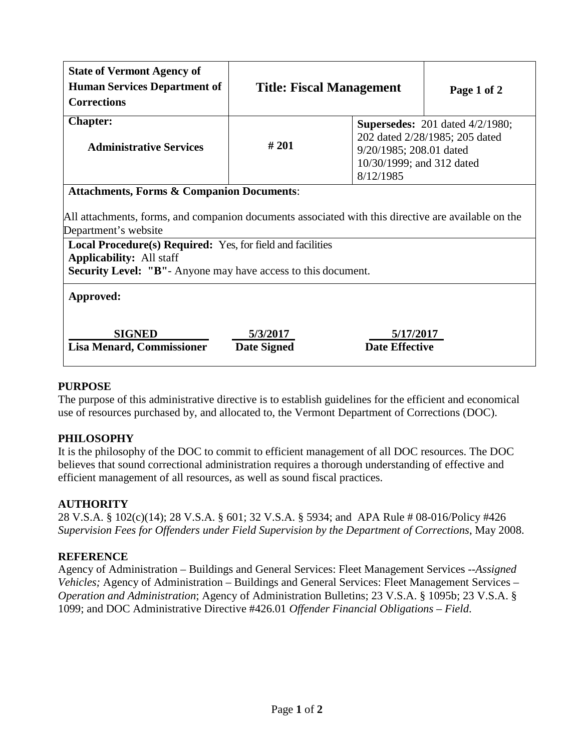| <b>State of Vermont Agency of</b><br><b>Human Services Department of</b><br><b>Corrections</b>                                                                                      | <b>Title: Fiscal Management</b>                                                                                                                       |                                    | Page 1 of 2 |
|-------------------------------------------------------------------------------------------------------------------------------------------------------------------------------------|-------------------------------------------------------------------------------------------------------------------------------------------------------|------------------------------------|-------------|
| <b>Chapter:</b><br><b>Administrative Services</b>                                                                                                                                   | <b>Supersedes:</b> 201 dated 4/2/1980;<br>202 dated 2/28/1985; 205 dated<br>#201<br>9/20/1985; 208.01 dated<br>10/30/1999; and 312 dated<br>8/12/1985 |                                    |             |
| <b>Attachments, Forms &amp; Companion Documents:</b><br>All attachments, forms, and companion documents associated with this directive are available on the<br>Department's website |                                                                                                                                                       |                                    |             |
| Local Procedure(s) Required: Yes, for field and facilities<br><b>Applicability:</b> All staff<br><b>Security Level: "B"</b> - Anyone may have access to this document.              |                                                                                                                                                       |                                    |             |
| Approved:                                                                                                                                                                           |                                                                                                                                                       |                                    |             |
| <b>SIGNED</b><br><b>Lisa Menard, Commissioner</b>                                                                                                                                   | 5/3/2017<br><b>Date Signed</b>                                                                                                                        | 5/17/2017<br><b>Date Effective</b> |             |

### **PURPOSE**

The purpose of this administrative directive is to establish guidelines for the efficient and economical use of resources purchased by, and allocated to, the Vermont Department of Corrections (DOC).

## **PHILOSOPHY**

It is the philosophy of the DOC to commit to efficient management of all DOC resources. The DOC believes that sound correctional administration requires a thorough understanding of effective and efficient management of all resources, as well as sound fiscal practices.

### **AUTHORITY**

28 V.S.A. § 102(c)(14); 28 V.S.A. § 601; 32 V.S.A. § 5934; and APA Rule # 08-016/Policy #426 *Supervision Fees for Offenders under Field Supervision by the Department of Corrections*, May 2008.

### **REFERENCE**

Agency of Administration – Buildings and General Services: Fleet Management Services --*Assigned Vehicles;* Agency of Administration – Buildings and General Services: Fleet Management Services – *Operation and Administration*; Agency of Administration Bulletins; 23 V.S.A. § 1095b; 23 V.S.A. § 1099; and DOC Administrative Directive #426.01 *Offender Financial Obligations – Field*.